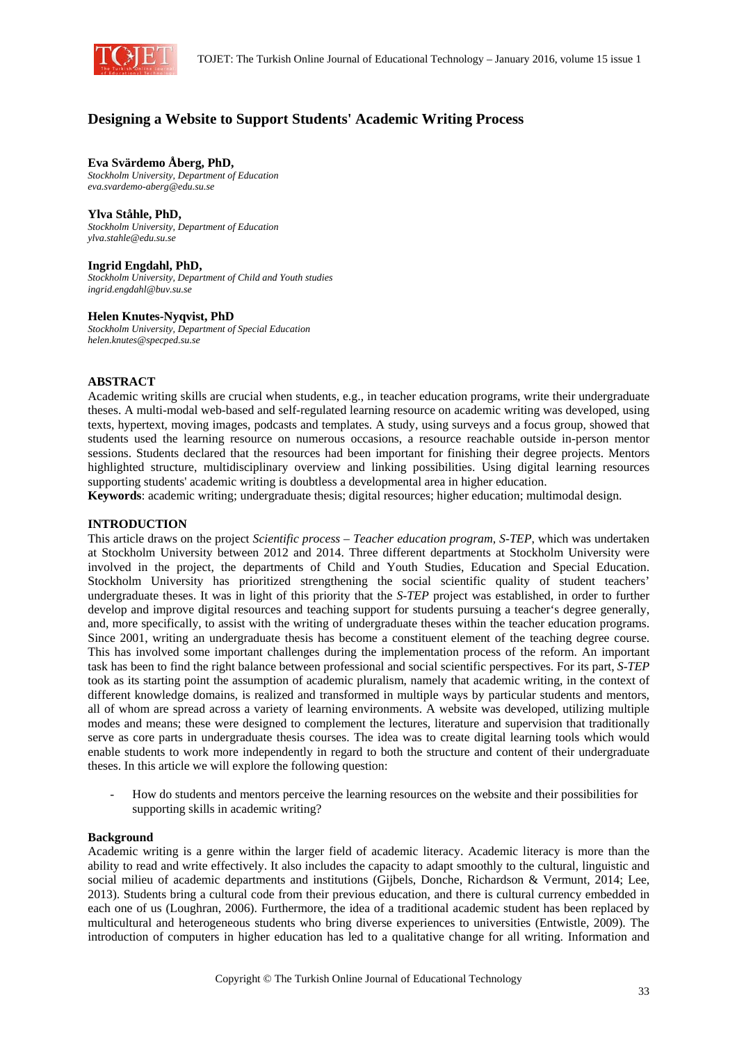

# **Designing a Website to Support Students' Academic Writing Process**

# **Eva Svärdemo Åberg, PhD,**

*Stockholm University, Department of Education eva.svardemo-aberg@edu.su.se* 

# **Ylva Ståhle, PhD,**

*Stockholm University, Department of Education ylva.stahle@edu.su.se* 

# **Ingrid Engdahl, PhD,**

*Stockholm University, Department of Child and Youth studies ingrid.engdahl@buv.su.se* 

# **Helen Knutes-Nyqvist, PhD**

*Stockholm University, Department of Special Education helen.knutes@specped.su.se* 

# **ABSTRACT**

Academic writing skills are crucial when students, e.g., in teacher education programs, write their undergraduate theses. A multi-modal web-based and self-regulated learning resource on academic writing was developed, using texts, hypertext, moving images, podcasts and templates. A study, using surveys and a focus group, showed that students used the learning resource on numerous occasions, a resource reachable outside in-person mentor sessions. Students declared that the resources had been important for finishing their degree projects. Mentors highlighted structure, multidisciplinary overview and linking possibilities. Using digital learning resources supporting students' academic writing is doubtless a developmental area in higher education.

**Keywords**: academic writing; undergraduate thesis; digital resources; higher education; multimodal design.

### **INTRODUCTION**

This article draws on the project *Scientific process – Teacher education program, S-TEP*, which was undertaken at Stockholm University between 2012 and 2014. Three different departments at Stockholm University were involved in the project, the departments of Child and Youth Studies, Education and Special Education. Stockholm University has prioritized strengthening the social scientific quality of student teachers' undergraduate theses. It was in light of this priority that the *S-TEP* project was established, in order to further develop and improve digital resources and teaching support for students pursuing a teacher's degree generally, and, more specifically, to assist with the writing of undergraduate theses within the teacher education programs. Since 2001, writing an undergraduate thesis has become a constituent element of the teaching degree course. This has involved some important challenges during the implementation process of the reform. An important task has been to find the right balance between professional and social scientific perspectives. For its part, *S-TEP*  took as its starting point the assumption of academic pluralism, namely that academic writing, in the context of different knowledge domains, is realized and transformed in multiple ways by particular students and mentors, all of whom are spread across a variety of learning environments. A website was developed, utilizing multiple modes and means; these were designed to complement the lectures, literature and supervision that traditionally serve as core parts in undergraduate thesis courses. The idea was to create digital learning tools which would enable students to work more independently in regard to both the structure and content of their undergraduate theses. In this article we will explore the following question:

- How do students and mentors perceive the learning resources on the website and their possibilities for supporting skills in academic writing?

#### **Background**

Academic writing is a genre within the larger field of academic literacy. Academic literacy is more than the ability to read and write effectively. It also includes the capacity to adapt smoothly to the cultural, linguistic and social milieu of academic departments and institutions (Gijbels, Donche, Richardson & Vermunt, 2014; Lee, 2013). Students bring a cultural code from their previous education, and there is cultural currency embedded in each one of us (Loughran, 2006). Furthermore, the idea of a traditional academic student has been replaced by multicultural and heterogeneous students who bring diverse experiences to universities (Entwistle, 2009). The introduction of computers in higher education has led to a qualitative change for all writing. Information and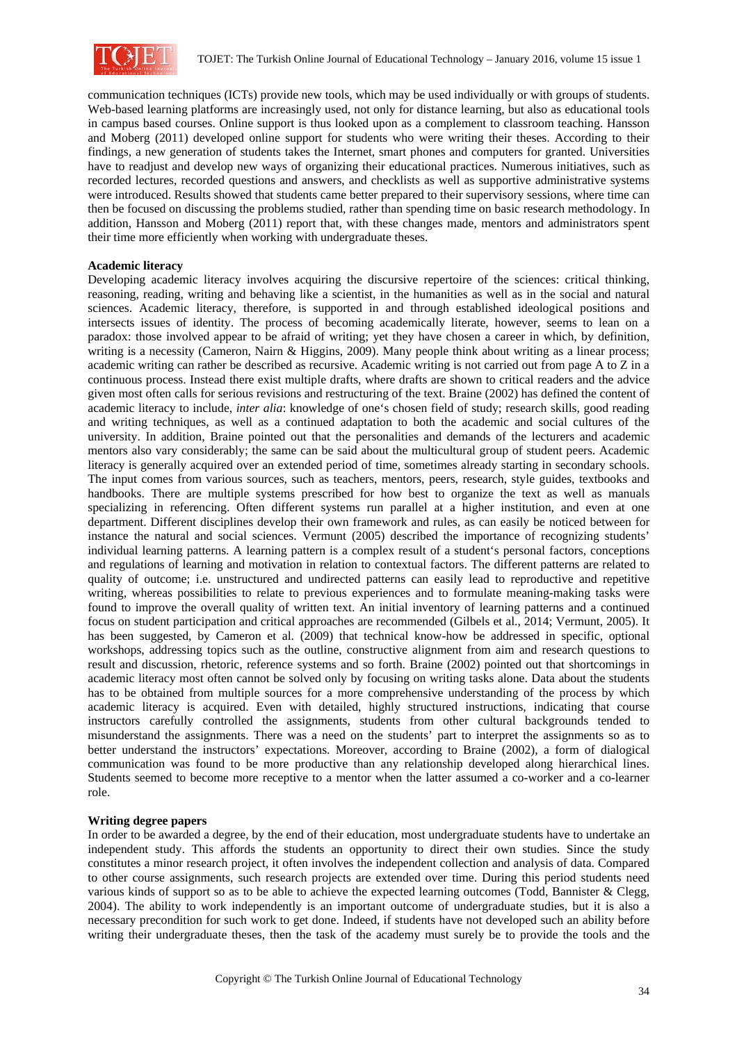

communication techniques (ICTs) provide new tools, which may be used individually or with groups of students. Web-based learning platforms are increasingly used, not only for distance learning, but also as educational tools in campus based courses. Online support is thus looked upon as a complement to classroom teaching. Hansson and Moberg (2011) developed online support for students who were writing their theses. According to their findings, a new generation of students takes the Internet, smart phones and computers for granted. Universities have to readjust and develop new ways of organizing their educational practices. Numerous initiatives, such as recorded lectures, recorded questions and answers, and checklists as well as supportive administrative systems were introduced. Results showed that students came better prepared to their supervisory sessions, where time can then be focused on discussing the problems studied, rather than spending time on basic research methodology. In addition, Hansson and Moberg (2011) report that, with these changes made, mentors and administrators spent their time more efficiently when working with undergraduate theses.

#### **Academic literacy**

Developing academic literacy involves acquiring the discursive repertoire of the sciences: critical thinking, reasoning, reading, writing and behaving like a scientist, in the humanities as well as in the social and natural sciences. Academic literacy, therefore, is supported in and through established ideological positions and intersects issues of identity. The process of becoming academically literate, however, seems to lean on a paradox: those involved appear to be afraid of writing; yet they have chosen a career in which, by definition, writing is a necessity (Cameron, Nairn & Higgins, 2009). Many people think about writing as a linear process; academic writing can rather be described as recursive. Academic writing is not carried out from page A to Z in a continuous process. Instead there exist multiple drafts, where drafts are shown to critical readers and the advice given most often calls for serious revisions and restructuring of the text. Braine (2002) has defined the content of academic literacy to include, *inter alia*: knowledge of one's chosen field of study; research skills, good reading and writing techniques, as well as a continued adaptation to both the academic and social cultures of the university. In addition, Braine pointed out that the personalities and demands of the lecturers and academic mentors also vary considerably; the same can be said about the multicultural group of student peers. Academic literacy is generally acquired over an extended period of time, sometimes already starting in secondary schools. The input comes from various sources, such as teachers, mentors, peers, research, style guides, textbooks and handbooks. There are multiple systems prescribed for how best to organize the text as well as manuals specializing in referencing. Often different systems run parallel at a higher institution, and even at one department. Different disciplines develop their own framework and rules, as can easily be noticed between for instance the natural and social sciences. Vermunt (2005) described the importance of recognizing students' individual learning patterns. A learning pattern is a complex result of a student's personal factors, conceptions and regulations of learning and motivation in relation to contextual factors. The different patterns are related to quality of outcome; i.e. unstructured and undirected patterns can easily lead to reproductive and repetitive writing, whereas possibilities to relate to previous experiences and to formulate meaning-making tasks were found to improve the overall quality of written text. An initial inventory of learning patterns and a continued focus on student participation and critical approaches are recommended (Gilbels et al., 2014; Vermunt, 2005). It has been suggested, by Cameron et al. (2009) that technical know-how be addressed in specific, optional workshops, addressing topics such as the outline, constructive alignment from aim and research questions to result and discussion, rhetoric, reference systems and so forth. Braine (2002) pointed out that shortcomings in academic literacy most often cannot be solved only by focusing on writing tasks alone. Data about the students has to be obtained from multiple sources for a more comprehensive understanding of the process by which academic literacy is acquired. Even with detailed, highly structured instructions, indicating that course instructors carefully controlled the assignments, students from other cultural backgrounds tended to misunderstand the assignments. There was a need on the students' part to interpret the assignments so as to better understand the instructors' expectations. Moreover, according to Braine (2002), a form of dialogical communication was found to be more productive than any relationship developed along hierarchical lines. Students seemed to become more receptive to a mentor when the latter assumed a co-worker and a co-learner role.

### **Writing degree papers**

In order to be awarded a degree, by the end of their education, most undergraduate students have to undertake an independent study. This affords the students an opportunity to direct their own studies. Since the study constitutes a minor research project, it often involves the independent collection and analysis of data. Compared to other course assignments, such research projects are extended over time. During this period students need various kinds of support so as to be able to achieve the expected learning outcomes (Todd, Bannister & Clegg, 2004). The ability to work independently is an important outcome of undergraduate studies, but it is also a necessary precondition for such work to get done. Indeed, if students have not developed such an ability before writing their undergraduate theses, then the task of the academy must surely be to provide the tools and the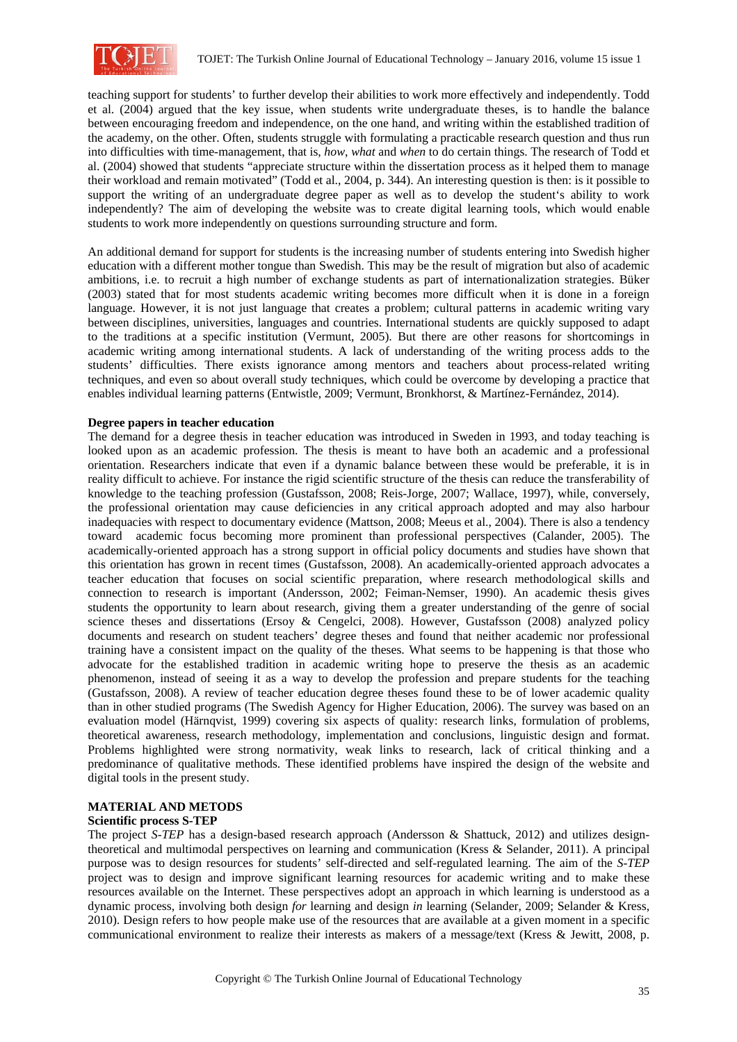

teaching support for students' to further develop their abilities to work more effectively and independently. Todd et al. (2004) argued that the key issue, when students write undergraduate theses, is to handle the balance between encouraging freedom and independence, on the one hand, and writing within the established tradition of the academy, on the other. Often, students struggle with formulating a practicable research question and thus run into difficulties with time-management, that is, *how*, *what* and *when* to do certain things. The research of Todd et al. (2004) showed that students "appreciate structure within the dissertation process as it helped them to manage their workload and remain motivated" (Todd et al., 2004, p. 344). An interesting question is then: is it possible to support the writing of an undergraduate degree paper as well as to develop the student's ability to work independently? The aim of developing the website was to create digital learning tools, which would enable students to work more independently on questions surrounding structure and form.

An additional demand for support for students is the increasing number of students entering into Swedish higher education with a different mother tongue than Swedish. This may be the result of migration but also of academic ambitions, i.e. to recruit a high number of exchange students as part of internationalization strategies. Büker (2003) stated that for most students academic writing becomes more difficult when it is done in a foreign language. However, it is not just language that creates a problem; cultural patterns in academic writing vary between disciplines, universities, languages and countries. International students are quickly supposed to adapt to the traditions at a specific institution (Vermunt, 2005). But there are other reasons for shortcomings in academic writing among international students. A lack of understanding of the writing process adds to the students' difficulties. There exists ignorance among mentors and teachers about process-related writing techniques, and even so about overall study techniques, which could be overcome by developing a practice that enables individual learning patterns (Entwistle, 2009; Vermunt, Bronkhorst, & Martínez-Fernández, 2014).

# **Degree papers in teacher education**

The demand for a degree thesis in teacher education was introduced in Sweden in 1993, and today teaching is looked upon as an academic profession. The thesis is meant to have both an academic and a professional orientation. Researchers indicate that even if a dynamic balance between these would be preferable, it is in reality difficult to achieve. For instance the rigid scientific structure of the thesis can reduce the transferability of knowledge to the teaching profession (Gustafsson, 2008; Reis-Jorge, 2007; Wallace, 1997), while, conversely, the professional orientation may cause deficiencies in any critical approach adopted and may also harbour inadequacies with respect to documentary evidence (Mattson, 2008; Meeus et al., 2004). There is also a tendency toward academic focus becoming more prominent than professional perspectives (Calander, 2005). The academically-oriented approach has a strong support in official policy documents and studies have shown that this orientation has grown in recent times (Gustafsson, 2008). An academically-oriented approach advocates a teacher education that focuses on social scientific preparation, where research methodological skills and connection to research is important (Andersson, 2002; Feiman-Nemser, 1990). An academic thesis gives students the opportunity to learn about research, giving them a greater understanding of the genre of social science theses and dissertations (Ersoy & Cengelci, 2008). However, Gustafsson (2008) analyzed policy documents and research on student teachers' degree theses and found that neither academic nor professional training have a consistent impact on the quality of the theses. What seems to be happening is that those who advocate for the established tradition in academic writing hope to preserve the thesis as an academic phenomenon, instead of seeing it as a way to develop the profession and prepare students for the teaching (Gustafsson, 2008). A review of teacher education degree theses found these to be of lower academic quality than in other studied programs (The Swedish Agency for Higher Education, 2006). The survey was based on an evaluation model (Härnqvist, 1999) covering six aspects of quality: research links, formulation of problems, theoretical awareness, research methodology, implementation and conclusions, linguistic design and format. Problems highlighted were strong normativity, weak links to research, lack of critical thinking and a predominance of qualitative methods. These identified problems have inspired the design of the website and digital tools in the present study.

#### **MATERIAL AND METODS Scientific process S-TEP**

The project *S-TEP* has a design-based research approach (Andersson & Shattuck, 2012) and utilizes designtheoretical and multimodal perspectives on learning and communication (Kress & Selander, 2011). A principal purpose was to design resources for students' self-directed and self-regulated learning. The aim of the *S-TEP* project was to design and improve significant learning resources for academic writing and to make these resources available on the Internet. These perspectives adopt an approach in which learning is understood as a dynamic process, involving both design *for* learning and design *in* learning (Selander, 2009; Selander & Kress, 2010). Design refers to how people make use of the resources that are available at a given moment in a specific communicational environment to realize their interests as makers of a message/text (Kress & Jewitt, 2008, p.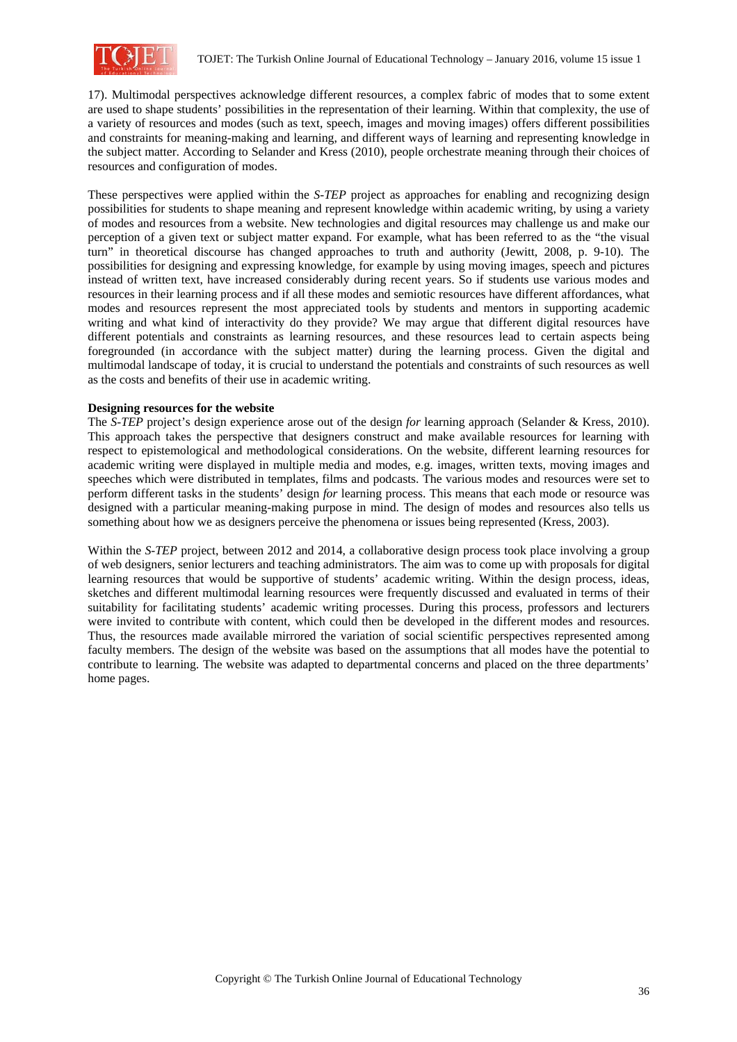

17). Multimodal perspectives acknowledge different resources, a complex fabric of modes that to some extent are used to shape students' possibilities in the representation of their learning. Within that complexity, the use of a variety of resources and modes (such as text, speech, images and moving images) offers different possibilities and constraints for meaning-making and learning, and different ways of learning and representing knowledge in the subject matter. According to Selander and Kress (2010), people orchestrate meaning through their choices of resources and configuration of modes.

These perspectives were applied within the *S-TEP* project as approaches for enabling and recognizing design possibilities for students to shape meaning and represent knowledge within academic writing, by using a variety of modes and resources from a website. New technologies and digital resources may challenge us and make our perception of a given text or subject matter expand. For example, what has been referred to as the "the visual turn" in theoretical discourse has changed approaches to truth and authority (Jewitt, 2008, p. 9-10). The possibilities for designing and expressing knowledge, for example by using moving images, speech and pictures instead of written text, have increased considerably during recent years. So if students use various modes and resources in their learning process and if all these modes and semiotic resources have different affordances, what modes and resources represent the most appreciated tools by students and mentors in supporting academic writing and what kind of interactivity do they provide? We may argue that different digital resources have different potentials and constraints as learning resources, and these resources lead to certain aspects being foregrounded (in accordance with the subject matter) during the learning process. Given the digital and multimodal landscape of today, it is crucial to understand the potentials and constraints of such resources as well as the costs and benefits of their use in academic writing.

# **Designing resources for the website**

The *S-TEP* project's design experience arose out of the design *for* learning approach (Selander & Kress, 2010). This approach takes the perspective that designers construct and make available resources for learning with respect to epistemological and methodological considerations. On the website, different learning resources for academic writing were displayed in multiple media and modes, e.g. images, written texts, moving images and speeches which were distributed in templates, films and podcasts. The various modes and resources were set to perform different tasks in the students' design *for* learning process. This means that each mode or resource was designed with a particular meaning-making purpose in mind. The design of modes and resources also tells us something about how we as designers perceive the phenomena or issues being represented (Kress, 2003).

Within the *S-TEP* project, between 2012 and 2014, a collaborative design process took place involving a group of web designers, senior lecturers and teaching administrators. The aim was to come up with proposals for digital learning resources that would be supportive of students' academic writing. Within the design process, ideas, sketches and different multimodal learning resources were frequently discussed and evaluated in terms of their suitability for facilitating students' academic writing processes. During this process, professors and lecturers were invited to contribute with content, which could then be developed in the different modes and resources. Thus, the resources made available mirrored the variation of social scientific perspectives represented among faculty members. The design of the website was based on the assumptions that all modes have the potential to contribute to learning. The website was adapted to departmental concerns and placed on the three departments' home pages.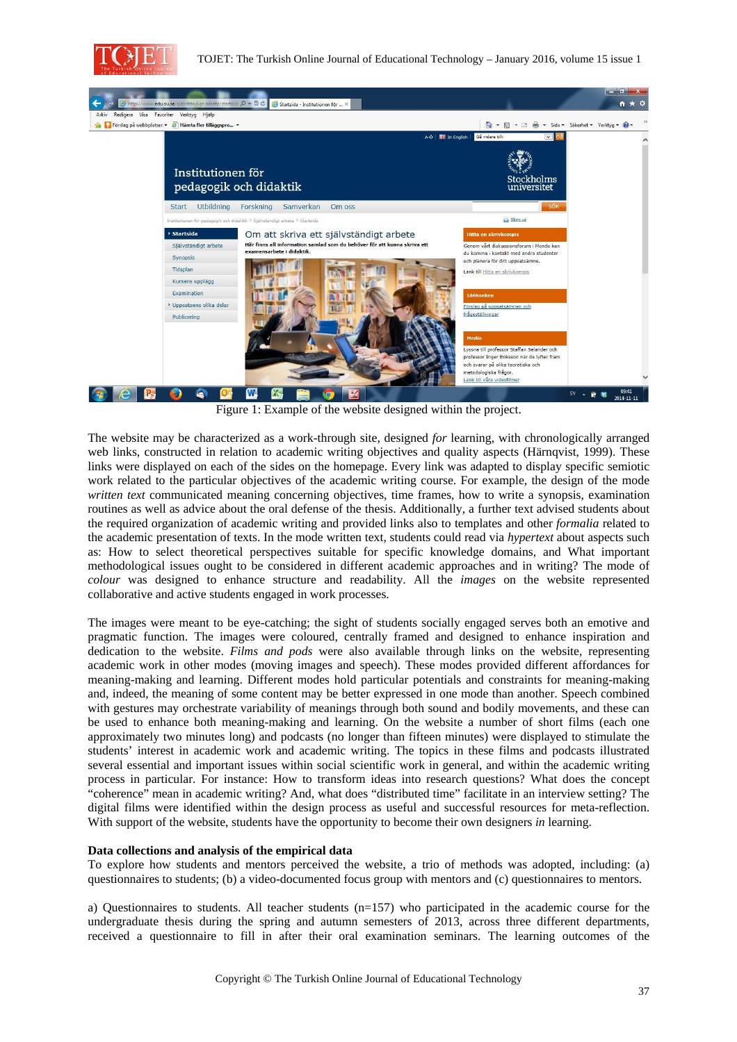



Figure 1: Example of the website designed within the project.

The website may be characterized as a work-through site, designed *for* learning, with chronologically arranged web links, constructed in relation to academic writing objectives and quality aspects (Härnqvist, 1999). These links were displayed on each of the sides on the homepage. Every link was adapted to display specific semiotic work related to the particular objectives of the academic writing course. For example, the design of the mode *written text* communicated meaning concerning objectives, time frames, how to write a synopsis, examination routines as well as advice about the oral defense of the thesis. Additionally, a further text advised students about the required organization of academic writing and provided links also to templates and other *formalia* related to the academic presentation of texts. In the mode written text, students could read via *hypertext* about aspects such as: How to select theoretical perspectives suitable for specific knowledge domains, and What important methodological issues ought to be considered in different academic approaches and in writing? The mode of *colour* was designed to enhance structure and readability. All the *images* on the website represented collaborative and active students engaged in work processes.

The images were meant to be eye-catching; the sight of students socially engaged serves both an emotive and pragmatic function. The images were coloured, centrally framed and designed to enhance inspiration and dedication to the website. *Films and pods* were also available through links on the website, representing academic work in other modes (moving images and speech). These modes provided different affordances for meaning-making and learning. Different modes hold particular potentials and constraints for meaning-making and, indeed, the meaning of some content may be better expressed in one mode than another. Speech combined with gestures may orchestrate variability of meanings through both sound and bodily movements, and these can be used to enhance both meaning-making and learning. On the website a number of short films (each one approximately two minutes long) and podcasts (no longer than fifteen minutes) were displayed to stimulate the students' interest in academic work and academic writing. The topics in these films and podcasts illustrated several essential and important issues within social scientific work in general, and within the academic writing process in particular. For instance: How to transform ideas into research questions? What does the concept "coherence" mean in academic writing? And, what does "distributed time" facilitate in an interview setting? The digital films were identified within the design process as useful and successful resources for meta-reflection. With support of the website, students have the opportunity to become their own designers *in* learning.

# **Data collections and analysis of the empirical data**

To explore how students and mentors perceived the website, a trio of methods was adopted, including: (a) questionnaires to students; (b) a video-documented focus group with mentors and (c) questionnaires to mentors.

a) Questionnaires to students. All teacher students  $(n=157)$  who participated in the academic course for the undergraduate thesis during the spring and autumn semesters of 2013, across three different departments, received a questionnaire to fill in after their oral examination seminars. The learning outcomes of the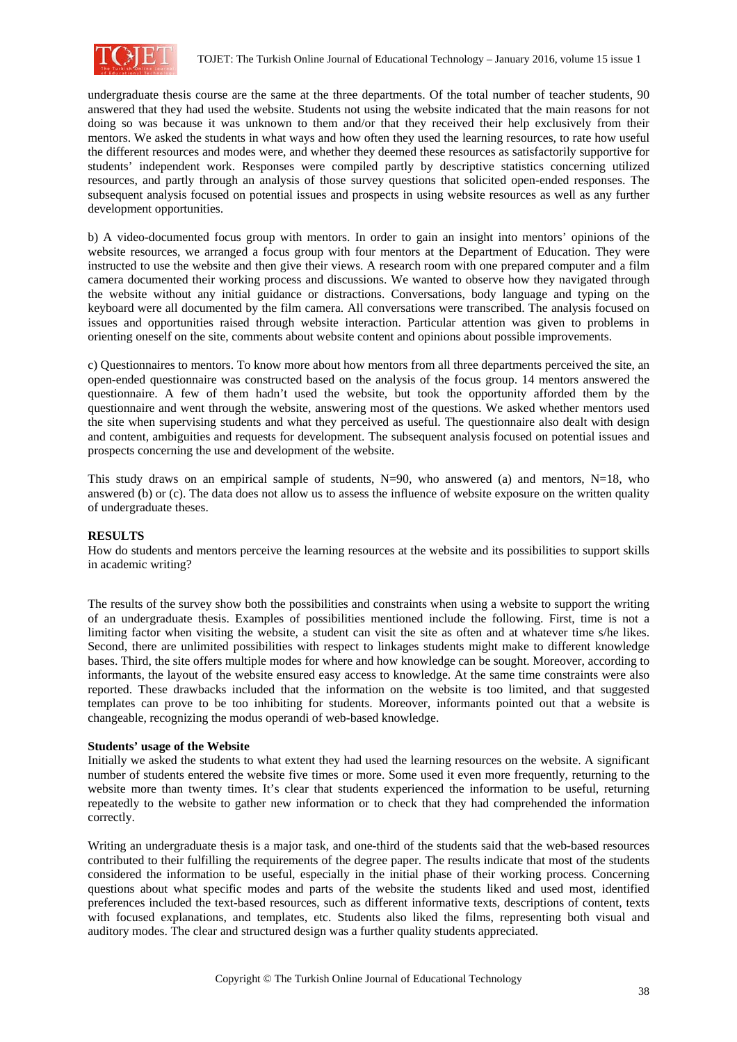

undergraduate thesis course are the same at the three departments. Of the total number of teacher students, 90 answered that they had used the website. Students not using the website indicated that the main reasons for not doing so was because it was unknown to them and/or that they received their help exclusively from their mentors. We asked the students in what ways and how often they used the learning resources, to rate how useful the different resources and modes were, and whether they deemed these resources as satisfactorily supportive for students' independent work. Responses were compiled partly by descriptive statistics concerning utilized resources, and partly through an analysis of those survey questions that solicited open-ended responses. The subsequent analysis focused on potential issues and prospects in using website resources as well as any further development opportunities.

b) A video-documented focus group with mentors. In order to gain an insight into mentors' opinions of the website resources, we arranged a focus group with four mentors at the Department of Education. They were instructed to use the website and then give their views. A research room with one prepared computer and a film camera documented their working process and discussions. We wanted to observe how they navigated through the website without any initial guidance or distractions. Conversations, body language and typing on the keyboard were all documented by the film camera. All conversations were transcribed. The analysis focused on issues and opportunities raised through website interaction. Particular attention was given to problems in orienting oneself on the site, comments about website content and opinions about possible improvements.

c) Questionnaires to mentors. To know more about how mentors from all three departments perceived the site, an open-ended questionnaire was constructed based on the analysis of the focus group. 14 mentors answered the questionnaire. A few of them hadn't used the website, but took the opportunity afforded them by the questionnaire and went through the website, answering most of the questions. We asked whether mentors used the site when supervising students and what they perceived as useful. The questionnaire also dealt with design and content, ambiguities and requests for development. The subsequent analysis focused on potential issues and prospects concerning the use and development of the website.

This study draws on an empirical sample of students,  $N=90$ , who answered (a) and mentors,  $N=18$ , who answered (b) or (c). The data does not allow us to assess the influence of website exposure on the written quality of undergraduate theses.

# **RESULTS**

How do students and mentors perceive the learning resources at the website and its possibilities to support skills in academic writing?

The results of the survey show both the possibilities and constraints when using a website to support the writing of an undergraduate thesis. Examples of possibilities mentioned include the following. First, time is not a limiting factor when visiting the website, a student can visit the site as often and at whatever time s/he likes. Second, there are unlimited possibilities with respect to linkages students might make to different knowledge bases. Third, the site offers multiple modes for where and how knowledge can be sought. Moreover, according to informants, the layout of the website ensured easy access to knowledge. At the same time constraints were also reported. These drawbacks included that the information on the website is too limited, and that suggested templates can prove to be too inhibiting for students. Moreover, informants pointed out that a website is changeable, recognizing the modus operandi of web-based knowledge.

#### **Students' usage of the Website**

Initially we asked the students to what extent they had used the learning resources on the website. A significant number of students entered the website five times or more. Some used it even more frequently, returning to the website more than twenty times. It's clear that students experienced the information to be useful, returning repeatedly to the website to gather new information or to check that they had comprehended the information correctly.

Writing an undergraduate thesis is a major task, and one-third of the students said that the web-based resources contributed to their fulfilling the requirements of the degree paper. The results indicate that most of the students considered the information to be useful, especially in the initial phase of their working process. Concerning questions about what specific modes and parts of the website the students liked and used most, identified preferences included the text-based resources, such as different informative texts, descriptions of content, texts with focused explanations, and templates, etc. Students also liked the films, representing both visual and auditory modes. The clear and structured design was a further quality students appreciated.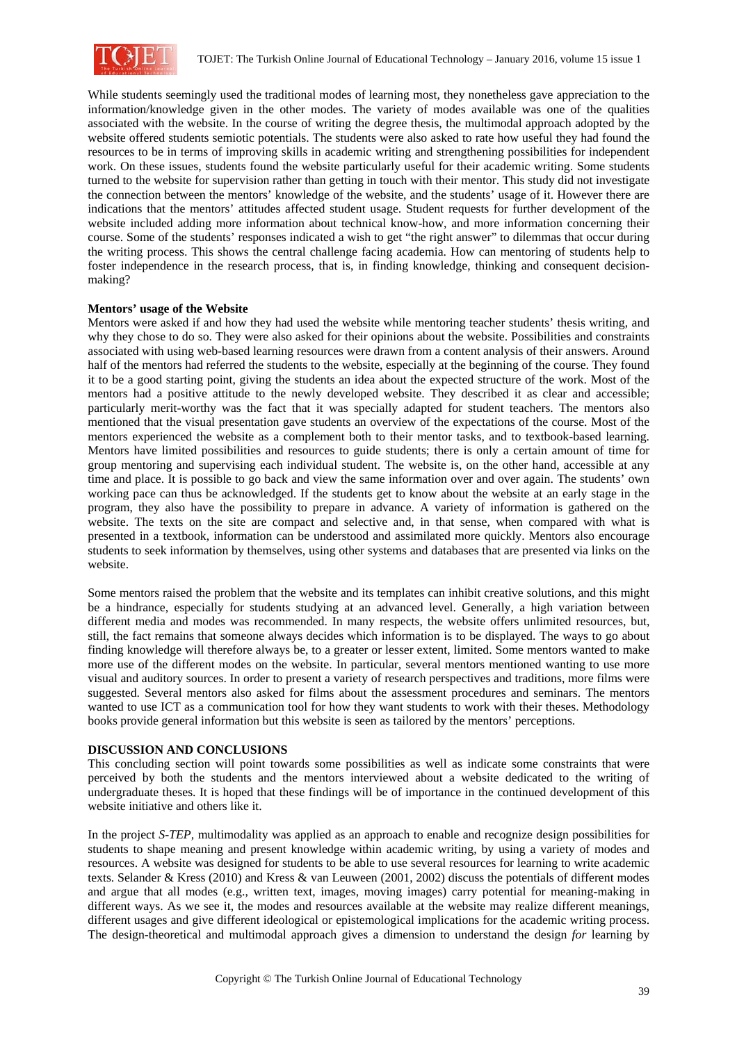

While students seemingly used the traditional modes of learning most, they nonetheless gave appreciation to the information/knowledge given in the other modes. The variety of modes available was one of the qualities associated with the website. In the course of writing the degree thesis, the multimodal approach adopted by the website offered students semiotic potentials. The students were also asked to rate how useful they had found the resources to be in terms of improving skills in academic writing and strengthening possibilities for independent work. On these issues, students found the website particularly useful for their academic writing. Some students turned to the website for supervision rather than getting in touch with their mentor. This study did not investigate the connection between the mentors' knowledge of the website, and the students' usage of it. However there are indications that the mentors' attitudes affected student usage. Student requests for further development of the website included adding more information about technical know-how, and more information concerning their course. Some of the students' responses indicated a wish to get "the right answer" to dilemmas that occur during the writing process. This shows the central challenge facing academia. How can mentoring of students help to foster independence in the research process, that is, in finding knowledge, thinking and consequent decisionmaking?

# **Mentors' usage of the Website**

Mentors were asked if and how they had used the website while mentoring teacher students' thesis writing, and why they chose to do so. They were also asked for their opinions about the website. Possibilities and constraints associated with using web-based learning resources were drawn from a content analysis of their answers. Around half of the mentors had referred the students to the website, especially at the beginning of the course. They found it to be a good starting point, giving the students an idea about the expected structure of the work. Most of the mentors had a positive attitude to the newly developed website. They described it as clear and accessible; particularly merit-worthy was the fact that it was specially adapted for student teachers. The mentors also mentioned that the visual presentation gave students an overview of the expectations of the course. Most of the mentors experienced the website as a complement both to their mentor tasks, and to textbook-based learning. Mentors have limited possibilities and resources to guide students; there is only a certain amount of time for group mentoring and supervising each individual student. The website is, on the other hand, accessible at any time and place. It is possible to go back and view the same information over and over again. The students' own working pace can thus be acknowledged. If the students get to know about the website at an early stage in the program, they also have the possibility to prepare in advance. A variety of information is gathered on the website. The texts on the site are compact and selective and, in that sense, when compared with what is presented in a textbook, information can be understood and assimilated more quickly. Mentors also encourage students to seek information by themselves, using other systems and databases that are presented via links on the website.

Some mentors raised the problem that the website and its templates can inhibit creative solutions, and this might be a hindrance, especially for students studying at an advanced level. Generally, a high variation between different media and modes was recommended. In many respects, the website offers unlimited resources, but, still, the fact remains that someone always decides which information is to be displayed. The ways to go about finding knowledge will therefore always be, to a greater or lesser extent, limited. Some mentors wanted to make more use of the different modes on the website. In particular, several mentors mentioned wanting to use more visual and auditory sources. In order to present a variety of research perspectives and traditions, more films were suggested. Several mentors also asked for films about the assessment procedures and seminars. The mentors wanted to use ICT as a communication tool for how they want students to work with their theses. Methodology books provide general information but this website is seen as tailored by the mentors' perceptions.

#### **DISCUSSION AND CONCLUSIONS**

This concluding section will point towards some possibilities as well as indicate some constraints that were perceived by both the students and the mentors interviewed about a website dedicated to the writing of undergraduate theses. It is hoped that these findings will be of importance in the continued development of this website initiative and others like it.

In the project *S-TEP,* multimodality was applied as an approach to enable and recognize design possibilities for students to shape meaning and present knowledge within academic writing, by using a variety of modes and resources. A website was designed for students to be able to use several resources for learning to write academic texts. Selander & Kress (2010) and Kress & van Leuween (2001, 2002) discuss the potentials of different modes and argue that all modes (e.g., written text, images, moving images) carry potential for meaning-making in different ways. As we see it, the modes and resources available at the website may realize different meanings, different usages and give different ideological or epistemological implications for the academic writing process. The design-theoretical and multimodal approach gives a dimension to understand the design *for* learning by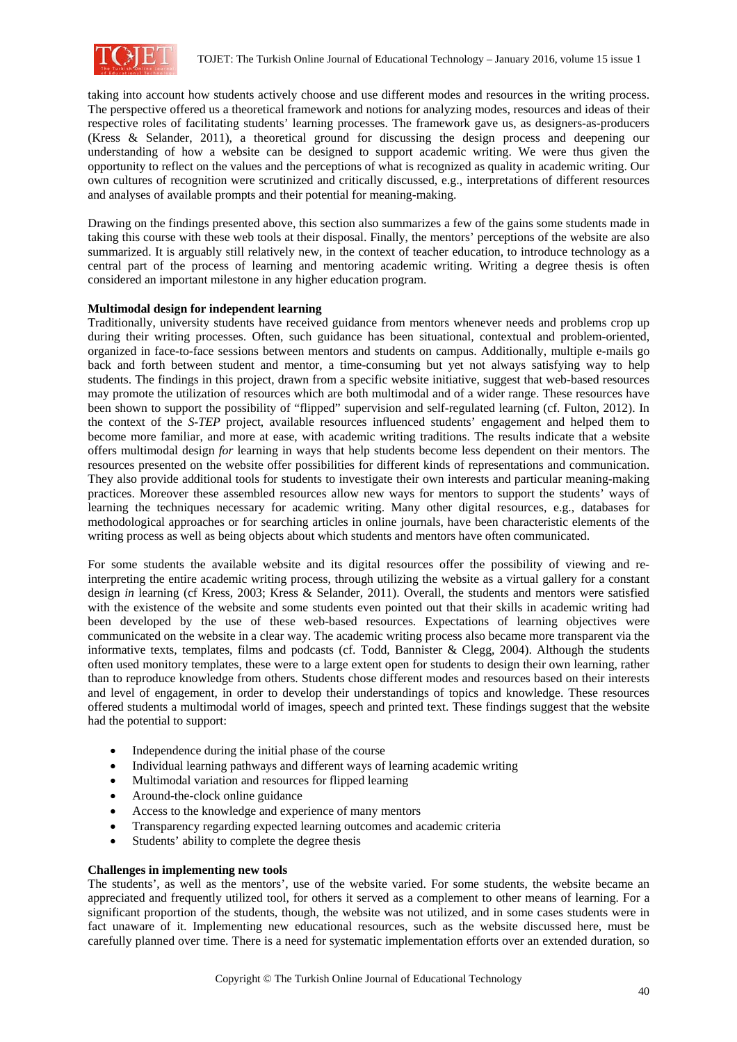

taking into account how students actively choose and use different modes and resources in the writing process. The perspective offered us a theoretical framework and notions for analyzing modes, resources and ideas of their respective roles of facilitating students' learning processes. The framework gave us, as designers-as-producers (Kress & Selander, 2011), a theoretical ground for discussing the design process and deepening our understanding of how a website can be designed to support academic writing. We were thus given the opportunity to reflect on the values and the perceptions of what is recognized as quality in academic writing. Our own cultures of recognition were scrutinized and critically discussed, e.g., interpretations of different resources and analyses of available prompts and their potential for meaning-making.

Drawing on the findings presented above, this section also summarizes a few of the gains some students made in taking this course with these web tools at their disposal. Finally, the mentors' perceptions of the website are also summarized. It is arguably still relatively new, in the context of teacher education, to introduce technology as a central part of the process of learning and mentoring academic writing. Writing a degree thesis is often considered an important milestone in any higher education program.

# **Multimodal design for independent learning**

Traditionally, university students have received guidance from mentors whenever needs and problems crop up during their writing processes. Often, such guidance has been situational, contextual and problem-oriented, organized in face-to-face sessions between mentors and students on campus. Additionally, multiple e-mails go back and forth between student and mentor, a time-consuming but yet not always satisfying way to help students. The findings in this project, drawn from a specific website initiative, suggest that web-based resources may promote the utilization of resources which are both multimodal and of a wider range. These resources have been shown to support the possibility of "flipped" supervision and self-regulated learning (cf. Fulton, 2012). In the context of the *S-TEP* project, available resources influenced students' engagement and helped them to become more familiar, and more at ease, with academic writing traditions. The results indicate that a website offers multimodal design *for* learning in ways that help students become less dependent on their mentors. The resources presented on the website offer possibilities for different kinds of representations and communication. They also provide additional tools for students to investigate their own interests and particular meaning-making practices. Moreover these assembled resources allow new ways for mentors to support the students' ways of learning the techniques necessary for academic writing. Many other digital resources, e.g., databases for methodological approaches or for searching articles in online journals, have been characteristic elements of the writing process as well as being objects about which students and mentors have often communicated.

For some students the available website and its digital resources offer the possibility of viewing and reinterpreting the entire academic writing process, through utilizing the website as a virtual gallery for a constant design *in* learning (cf Kress, 2003; Kress & Selander, 2011). Overall, the students and mentors were satisfied with the existence of the website and some students even pointed out that their skills in academic writing had been developed by the use of these web-based resources. Expectations of learning objectives were communicated on the website in a clear way. The academic writing process also became more transparent via the informative texts, templates, films and podcasts (cf. Todd, Bannister & Clegg, 2004). Although the students often used monitory templates, these were to a large extent open for students to design their own learning, rather than to reproduce knowledge from others. Students chose different modes and resources based on their interests and level of engagement, in order to develop their understandings of topics and knowledge. These resources offered students a multimodal world of images, speech and printed text. These findings suggest that the website had the potential to support:

- Independence during the initial phase of the course
- Individual learning pathways and different ways of learning academic writing
- Multimodal variation and resources for flipped learning
- Around-the-clock online guidance
- Access to the knowledge and experience of many mentors
- Transparency regarding expected learning outcomes and academic criteria
- Students' ability to complete the degree thesis

#### **Challenges in implementing new tools**

The students', as well as the mentors', use of the website varied. For some students, the website became an appreciated and frequently utilized tool, for others it served as a complement to other means of learning. For a significant proportion of the students, though, the website was not utilized, and in some cases students were in fact unaware of it. Implementing new educational resources, such as the website discussed here, must be carefully planned over time. There is a need for systematic implementation efforts over an extended duration, so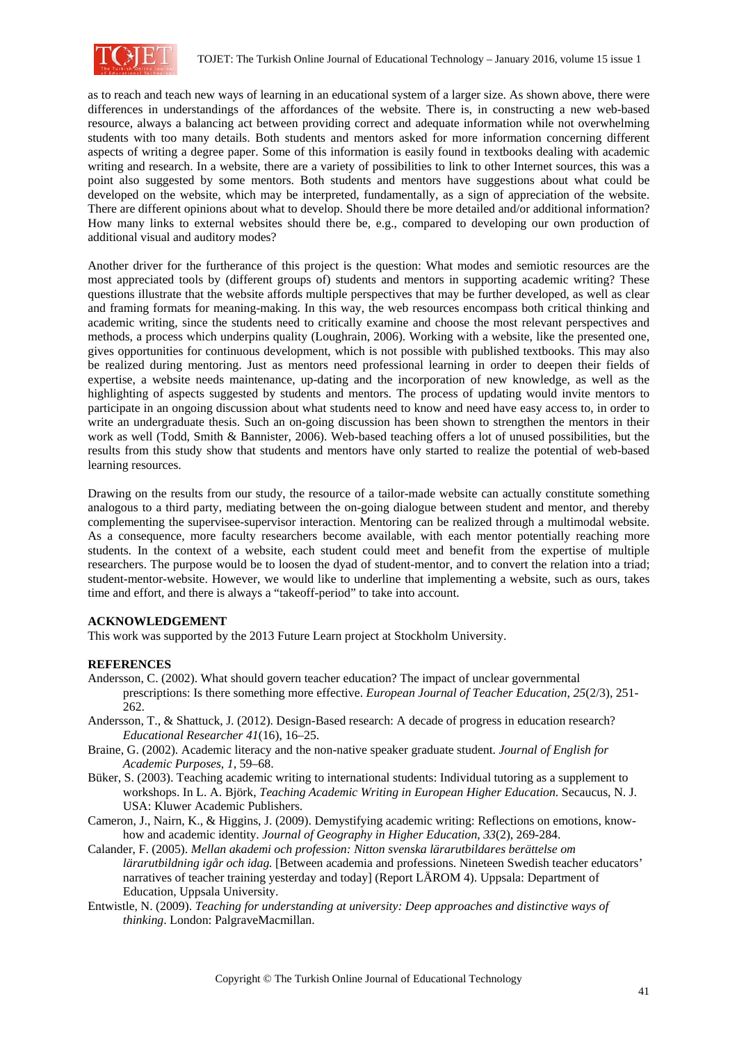

as to reach and teach new ways of learning in an educational system of a larger size. As shown above, there were differences in understandings of the affordances of the website. There is, in constructing a new web-based resource, always a balancing act between providing correct and adequate information while not overwhelming students with too many details. Both students and mentors asked for more information concerning different aspects of writing a degree paper. Some of this information is easily found in textbooks dealing with academic writing and research. In a website, there are a variety of possibilities to link to other Internet sources, this was a point also suggested by some mentors. Both students and mentors have suggestions about what could be developed on the website, which may be interpreted, fundamentally, as a sign of appreciation of the website. There are different opinions about what to develop. Should there be more detailed and/or additional information? How many links to external websites should there be, e.g., compared to developing our own production of additional visual and auditory modes?

Another driver for the furtherance of this project is the question: What modes and semiotic resources are the most appreciated tools by (different groups of) students and mentors in supporting academic writing? These questions illustrate that the website affords multiple perspectives that may be further developed, as well as clear and framing formats for meaning-making. In this way, the web resources encompass both critical thinking and academic writing, since the students need to critically examine and choose the most relevant perspectives and methods, a process which underpins quality (Loughrain, 2006). Working with a website, like the presented one, gives opportunities for continuous development, which is not possible with published textbooks. This may also be realized during mentoring. Just as mentors need professional learning in order to deepen their fields of expertise, a website needs maintenance, up-dating and the incorporation of new knowledge, as well as the highlighting of aspects suggested by students and mentors. The process of updating would invite mentors to participate in an ongoing discussion about what students need to know and need have easy access to, in order to write an undergraduate thesis. Such an on-going discussion has been shown to strengthen the mentors in their work as well (Todd, Smith & Bannister, 2006). Web-based teaching offers a lot of unused possibilities, but the results from this study show that students and mentors have only started to realize the potential of web-based learning resources.

Drawing on the results from our study, the resource of a tailor-made website can actually constitute something analogous to a third party, mediating between the on-going dialogue between student and mentor, and thereby complementing the supervisee-supervisor interaction. Mentoring can be realized through a multimodal website. As a consequence, more faculty researchers become available, with each mentor potentially reaching more students. In the context of a website, each student could meet and benefit from the expertise of multiple researchers. The purpose would be to loosen the dyad of student-mentor, and to convert the relation into a triad; student-mentor-website. However, we would like to underline that implementing a website, such as ours, takes time and effort, and there is always a "takeoff-period" to take into account.

# **ACKNOWLEDGEMENT**

This work was supported by the 2013 Future Learn project at Stockholm University.

# **REFERENCES**

- Andersson, C. (2002). What should govern teacher education? The impact of unclear governmental prescriptions: Is there something more effective. *European Journal of Teacher Education*, *25*(2/3), 251- 262.
- Andersson, T., & Shattuck, J. (2012). Design-Based research: A decade of progress in education research? *Educational Researcher 41*(16), 16–25.
- Braine, G. (2002). Academic literacy and the non-native speaker graduate student. *Journal of English for Academic Purposes*, *1*, 59–68.
- Büker, S. (2003). Teaching academic writing to international students: Individual tutoring as a supplement to workshops. In L. A. Björk, *Teaching Academic Writing in European Higher Education*. Secaucus, N. J. USA: Kluwer Academic Publishers.
- Cameron, J., Nairn, K., & Higgins, J. (2009). Demystifying academic writing: Reflections on emotions, knowhow and academic identity. *Journal of Geography in Higher Education*, *33*(2), 269-284.
- Calander, F. (2005). *Mellan akademi och profession: Nitton svenska lärarutbildares berättelse om lärarutbildning igår och idag.* [Between academia and professions. Nineteen Swedish teacher educators' narratives of teacher training yesterday and today] (Report LÄROM 4). Uppsala: Department of Education, Uppsala University.
- Entwistle, N. (2009). *Teaching for understanding at university: Deep approaches and distinctive ways of thinking*. London: PalgraveMacmillan.